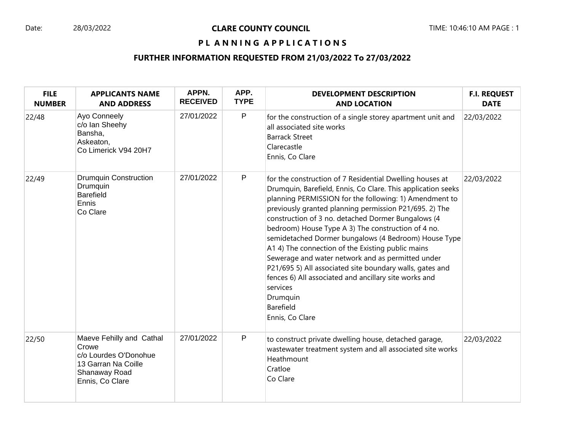#### Date: 28/03/2022 **CLARE COUNTY COUNCIL** TIME: 10:46:10 AM PAGE : 1

# PL ANNING APPLICATIONS

# **FURTHER INFORMATION REQUESTED FROM 21/03/2022 To 27/03/2022**

| <b>FILE</b><br><b>NUMBER</b> | <b>APPLICANTS NAME</b><br><b>AND ADDRESS</b>                                                                          | APPN.<br><b>RECEIVED</b> | APP.<br><b>TYPE</b> | <b>DEVELOPMENT DESCRIPTION</b><br><b>AND LOCATION</b>                                                                                                                                                                                                                                                                                                                                                                                                                                                                                                                                                                                                                                                   | <b>F.I. REQUEST</b><br><b>DATE</b> |
|------------------------------|-----------------------------------------------------------------------------------------------------------------------|--------------------------|---------------------|---------------------------------------------------------------------------------------------------------------------------------------------------------------------------------------------------------------------------------------------------------------------------------------------------------------------------------------------------------------------------------------------------------------------------------------------------------------------------------------------------------------------------------------------------------------------------------------------------------------------------------------------------------------------------------------------------------|------------------------------------|
| 22/48                        | Ayo Conneely<br>c/o lan Sheehy<br>Bansha,<br>Askeaton,<br>Co Limerick V94 20H7                                        | 27/01/2022               | $\mathsf{P}$        | for the construction of a single storey apartment unit and<br>all associated site works<br><b>Barrack Street</b><br>Clarecastle<br>Ennis, Co Clare                                                                                                                                                                                                                                                                                                                                                                                                                                                                                                                                                      | 22/03/2022                         |
| 22/49                        | <b>Drumquin Construction</b><br>Drumquin<br><b>Barefield</b><br>Ennis<br>Co Clare                                     | 27/01/2022               | $\mathsf{P}$        | for the construction of 7 Residential Dwelling houses at<br>Drumquin, Barefield, Ennis, Co Clare. This application seeks<br>planning PERMISSION for the following: 1) Amendment to<br>previously granted planning permission P21/695. 2) The<br>construction of 3 no. detached Dormer Bungalows (4<br>bedroom) House Type A 3) The construction of 4 no.<br>semidetached Dormer bungalows (4 Bedroom) House Type<br>A1 4) The connection of the Existing public mains<br>Sewerage and water network and as permitted under<br>P21/695 5) All associated site boundary walls, gates and<br>fences 6) All associated and ancillary site works and<br>services<br>Drumquin<br>Barefield<br>Ennis, Co Clare | 22/03/2022                         |
| 22/50                        | Maeve Fehilly and Cathal<br>Crowe<br>c/o Lourdes O'Donohue<br>13 Garran Na Coille<br>Shanaway Road<br>Ennis, Co Clare | 27/01/2022               | ${\sf P}$           | to construct private dwelling house, detached garage,<br>wastewater treatment system and all associated site works<br>Heathmount<br>Cratloe<br>Co Clare                                                                                                                                                                                                                                                                                                                                                                                                                                                                                                                                                 | 22/03/2022                         |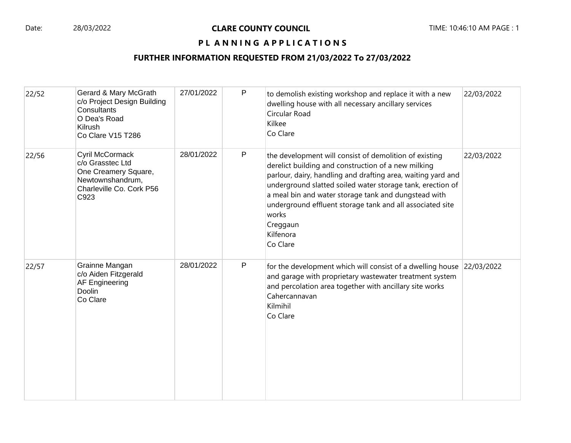## PL ANNING APPLICATIONS

### **FURTHER INFORMATION REQUESTED FROM 21/03/2022 To 27/03/2022**

| 22/52 | Gerard & Mary McGrath<br>c/o Project Design Building<br>Consultants<br>O Dea's Road<br>Kilrush<br>Co Clare V15 T286 | 27/01/2022 | P | to demolish existing workshop and replace it with a new<br>dwelling house with all necessary ancillary services<br>Circular Road<br>Kilkee<br>Co Clare                                                                                                                                                                                                                                                         | 22/03/2022 |
|-------|---------------------------------------------------------------------------------------------------------------------|------------|---|----------------------------------------------------------------------------------------------------------------------------------------------------------------------------------------------------------------------------------------------------------------------------------------------------------------------------------------------------------------------------------------------------------------|------------|
| 22/56 | Cyril McCormack<br>c/o Grasstec Ltd<br>One Creamery Square,<br>Newtownshandrum,<br>Charleville Co. Cork P56<br>C923 | 28/01/2022 | P | the development will consist of demolition of existing<br>derelict building and construction of a new milking<br>parlour, dairy, handling and drafting area, waiting yard and<br>underground slatted soiled water storage tank, erection of<br>a meal bin and water storage tank and dungstead with<br>underground effluent storage tank and all associated site<br>works<br>Creggaun<br>Kilfenora<br>Co Clare | 22/03/2022 |
| 22/57 | Grainne Mangan<br>c/o Aiden Fitzgerald<br>AF Engineering<br><b>Doolin</b><br>Co Clare                               | 28/01/2022 | P | for the development which will consist of a dwelling house 22/03/2022<br>and garage with proprietary wastewater treatment system<br>and percolation area together with ancillary site works<br>Cahercannavan<br>Kilmihil<br>Co Clare                                                                                                                                                                           |            |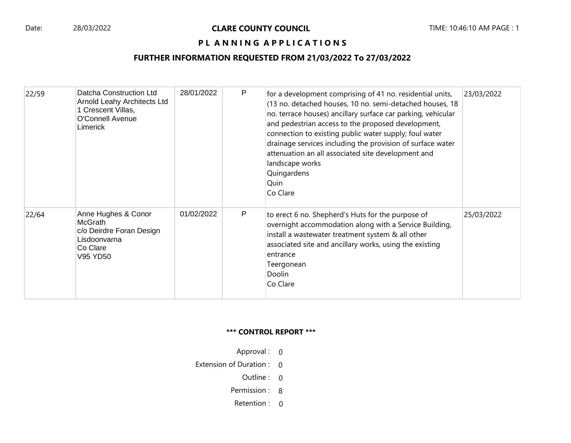### PL ANNING APPLICATIONS

### **FURTHER INFORMATION REQUESTED FROM 21/03/2022 To 27/03/2022**

| 22/59 | Datcha Construction Ltd<br>Arnold Leahy Architects Ltd<br>1 Crescent Villas,<br>O'Connell Avenue<br>Limerick | 28/01/2022 | P | for a development comprising of 41 no. residential units,<br>(13 no. detached houses, 10 no. semi-detached houses, 18<br>no. terrace houses) ancillary surface car parking, vehicular<br>and pedestrian access to the proposed development,<br>connection to existing public water supply; foul water<br>drainage services including the provision of surface water<br>attenuation an all associated site development and<br>landscape works<br>Quingardens<br>Quin<br>Co Clare | 23/03/2022 |
|-------|--------------------------------------------------------------------------------------------------------------|------------|---|---------------------------------------------------------------------------------------------------------------------------------------------------------------------------------------------------------------------------------------------------------------------------------------------------------------------------------------------------------------------------------------------------------------------------------------------------------------------------------|------------|
| 22/64 | Anne Hughes & Conor<br><b>McGrath</b><br>c/o Deirdre Foran Design<br>Lisdoonvarna<br>Co Clare<br>V95 YD50    | 01/02/2022 | P | to erect 6 no. Shepherd's Huts for the purpose of<br>overnight accommodation along with a Service Building,<br>install a wastewater treatment system & all other<br>associated site and ancillary works, using the existing<br>entrance<br>Teergonean<br>Doolin<br>Co Clare                                                                                                                                                                                                     | 25/03/2022 |

#### **\*\*\* CONTROL REPORT \*\*\***

- Approval : 0
- Extension of Duration : 0
	- Outline : 0
	- Permission : 8
	- Retention : 0